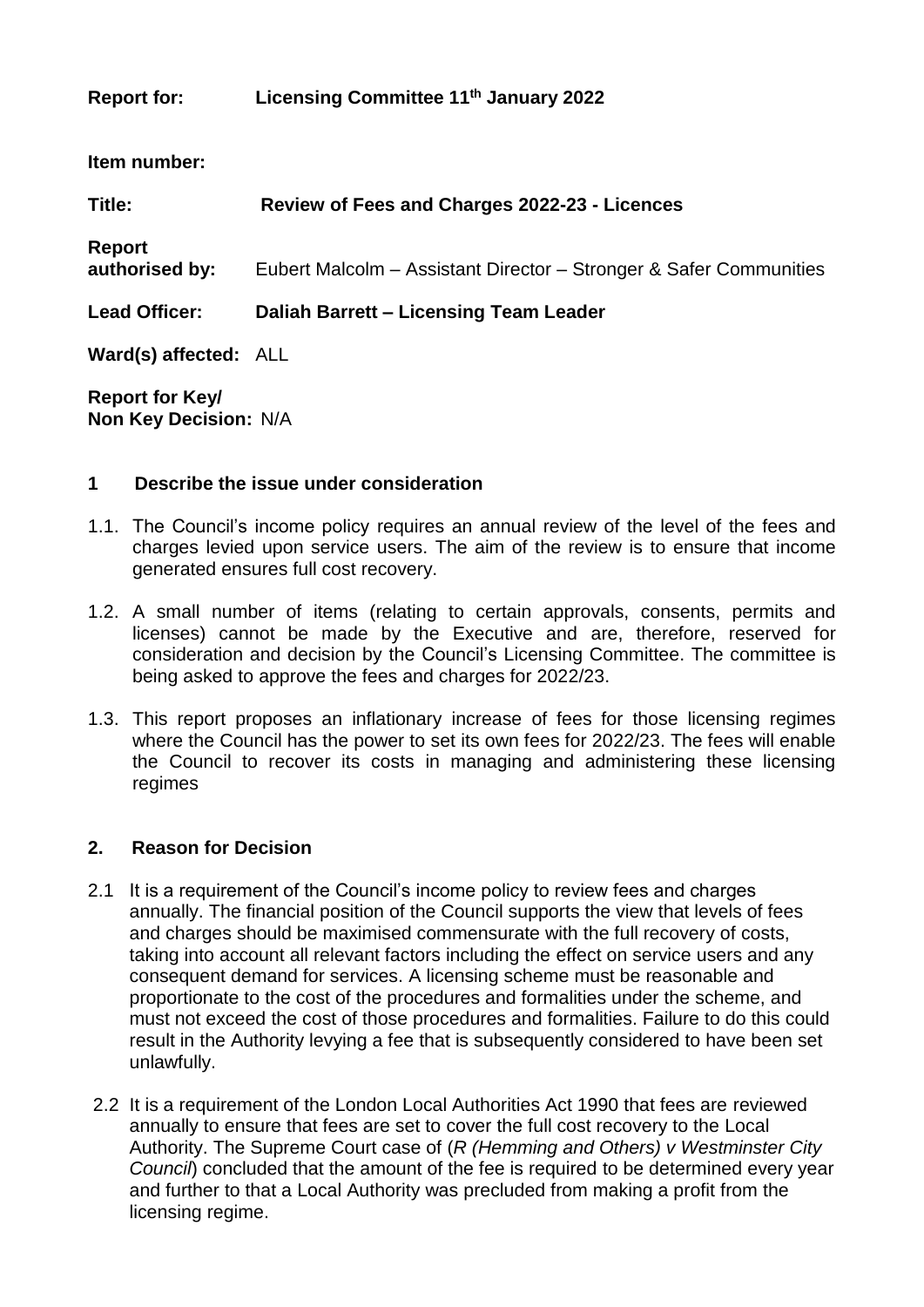# **Report for: Licensing Committee 11th January 2022**

**Item number:**

| Title:                   | Review of Fees and Charges 2022-23 - Licences                      |
|--------------------------|--------------------------------------------------------------------|
| Report<br>authorised by: | Eubert Malcolm – Assistant Director – Stronger & Safer Communities |
| <b>Lead Officer:</b>     | Daliah Barrett - Licensing Team Leader                             |
| Ward(s) affected: ALL    |                                                                    |

**Report for Key/ Non Key Decision:** N/A

### **1 Describe the issue under consideration**

- 1.1. The Council's income policy requires an annual review of the level of the fees and charges levied upon service users. The aim of the review is to ensure that income generated ensures full cost recovery.
- 1.2. A small number of items (relating to certain approvals, consents, permits and licenses) cannot be made by the Executive and are, therefore, reserved for consideration and decision by the Council's Licensing Committee. The committee is being asked to approve the fees and charges for 2022/23.
- 1.3. This report proposes an inflationary increase of fees for those licensing regimes where the Council has the power to set its own fees for 2022/23. The fees will enable the Council to recover its costs in managing and administering these licensing regimes

### **2. Reason for Decision**

- 2.1 It is a requirement of the Council's income policy to review fees and charges annually. The financial position of the Council supports the view that levels of fees and charges should be maximised commensurate with the full recovery of costs, taking into account all relevant factors including the effect on service users and any consequent demand for services. A licensing scheme must be reasonable and proportionate to the cost of the procedures and formalities under the scheme, and must not exceed the cost of those procedures and formalities. Failure to do this could result in the Authority levying a fee that is subsequently considered to have been set unlawfully.
- 2.2 It is a requirement of the London Local Authorities Act 1990 that fees are reviewed annually to ensure that fees are set to cover the full cost recovery to the Local Authority. The Supreme Court case of (*R (Hemming and Others) v Westminster City Council*) concluded that the amount of the fee is required to be determined every year and further to that a Local Authority was precluded from making a profit from the licensing regime.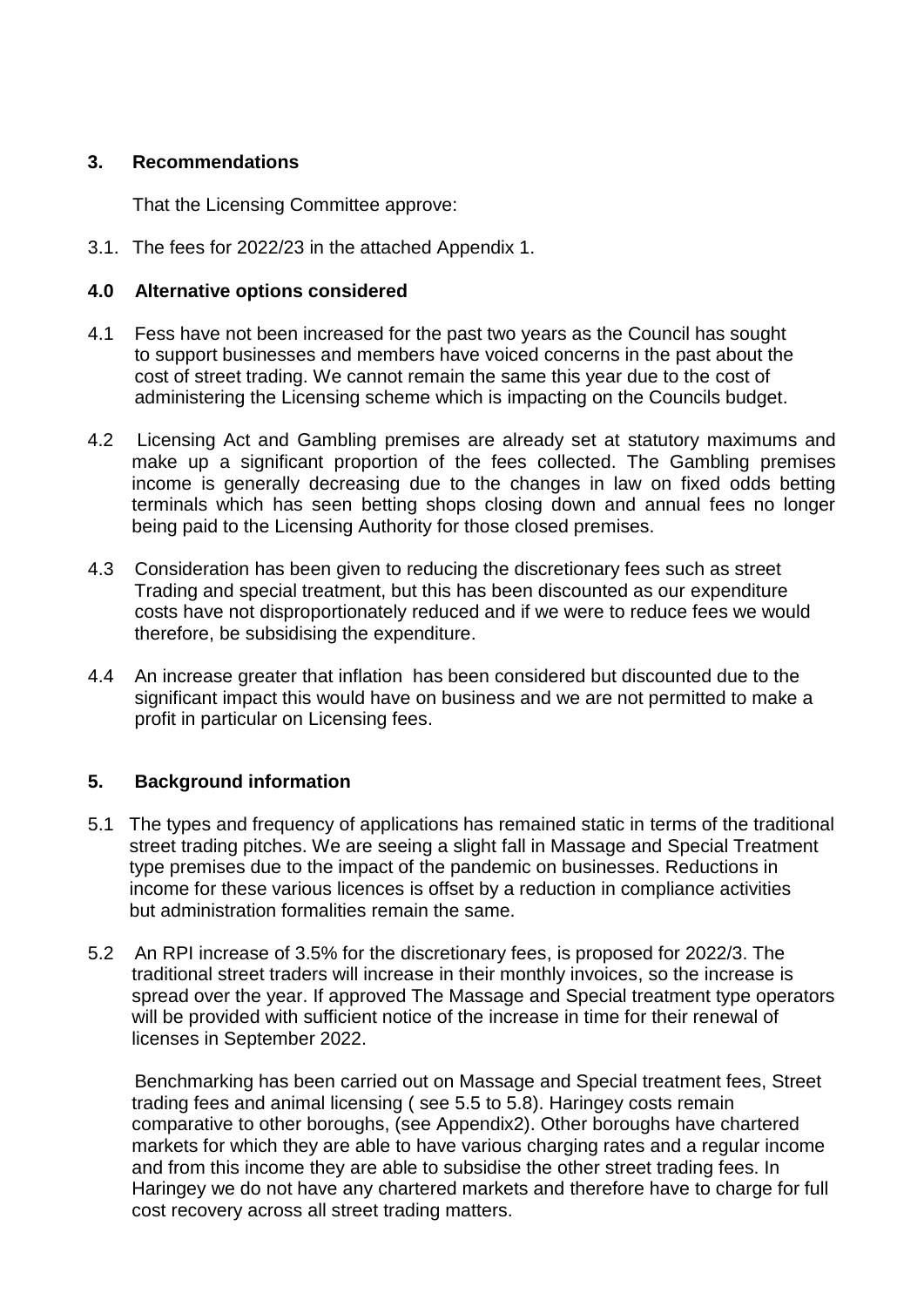## **3. Recommendations**

That the Licensing Committee approve:

3.1. The fees for 2022/23 in the attached Appendix 1.

## **4.0 Alternative options considered**

- 4.1 Fess have not been increased for the past two years as the Council has sought to support businesses and members have voiced concerns in the past about the cost of street trading. We cannot remain the same this year due to the cost of administering the Licensing scheme which is impacting on the Councils budget.
- 4.2 Licensing Act and Gambling premises are already set at statutory maximums and make up a significant proportion of the fees collected. The Gambling premises income is generally decreasing due to the changes in law on fixed odds betting terminals which has seen betting shops closing down and annual fees no longer being paid to the Licensing Authority for those closed premises.
- 4.3 Consideration has been given to reducing the discretionary fees such as street Trading and special treatment, but this has been discounted as our expenditure costs have not disproportionately reduced and if we were to reduce fees we would therefore, be subsidising the expenditure.
- 4.4 An increase greater that inflation has been considered but discounted due to the significant impact this would have on business and we are not permitted to make a profit in particular on Licensing fees.

# **5. Background information**

- 5.1 The types and frequency of applications has remained static in terms of the traditional street trading pitches. We are seeing a slight fall in Massage and Special Treatment type premises due to the impact of the pandemic on businesses. Reductions in income for these various licences is offset by a reduction in compliance activities but administration formalities remain the same.
- 5.2 An RPI increase of 3.5% for the discretionary fees, is proposed for 2022/3. The traditional street traders will increase in their monthly invoices, so the increase is spread over the year. If approved The Massage and Special treatment type operators will be provided with sufficient notice of the increase in time for their renewal of licenses in September 2022.

 Benchmarking has been carried out on Massage and Special treatment fees, Street trading fees and animal licensing ( see 5.5 to 5.8). Haringey costs remain comparative to other boroughs, (see Appendix2). Other boroughs have chartered markets for which they are able to have various charging rates and a regular income and from this income they are able to subsidise the other street trading fees. In Haringey we do not have any chartered markets and therefore have to charge for full cost recovery across all street trading matters.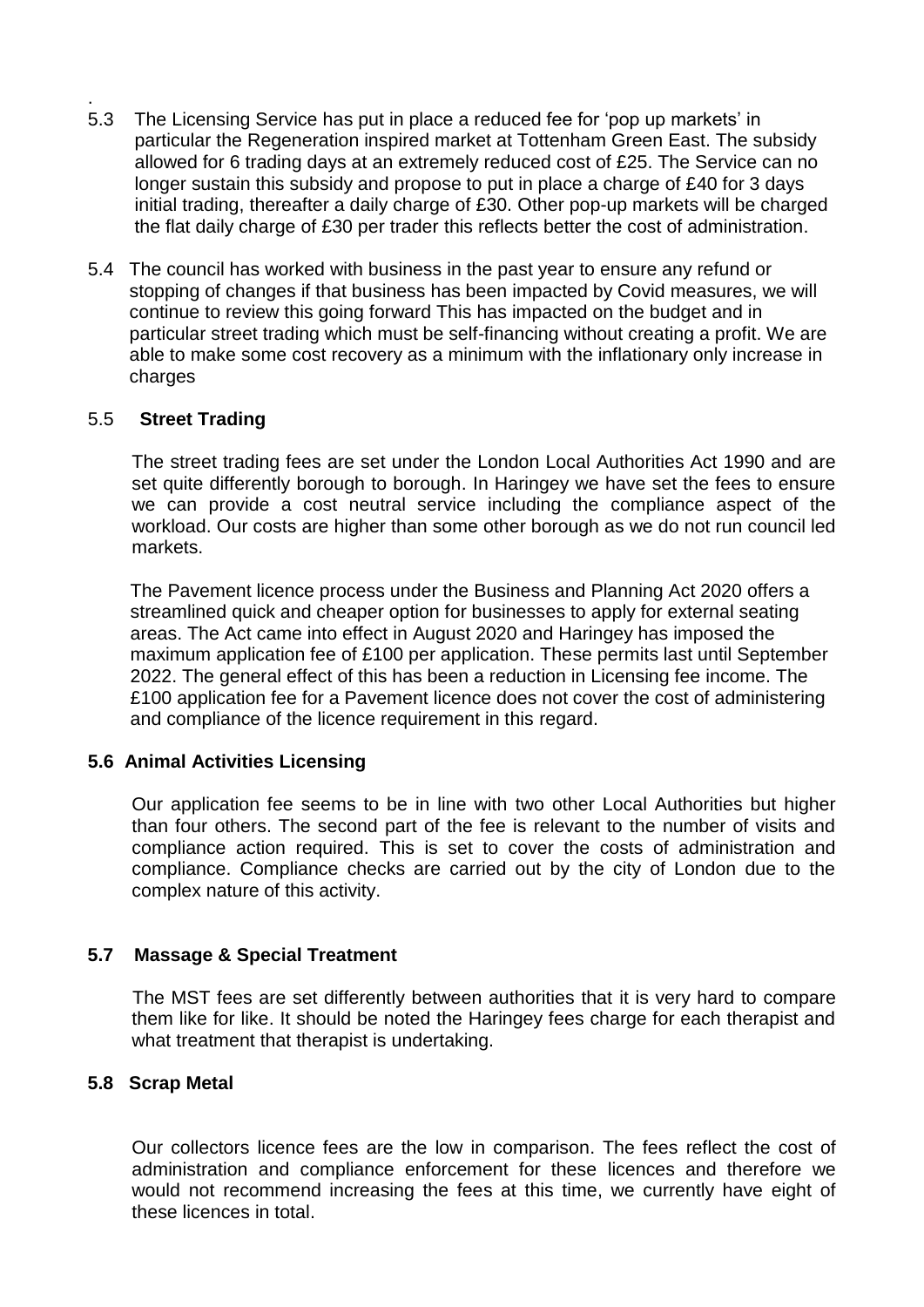- 5.3 The Licensing Service has put in place a reduced fee for 'pop up markets' in particular the Regeneration inspired market at Tottenham Green East. The subsidy allowed for 6 trading days at an extremely reduced cost of £25. The Service can no longer sustain this subsidy and propose to put in place a charge of £40 for 3 days initial trading, thereafter a daily charge of £30. Other pop-up markets will be charged the flat daily charge of £30 per trader this reflects better the cost of administration.
- 5.4 The council has worked with business in the past year to ensure any refund or stopping of changes if that business has been impacted by Covid measures, we will continue to review this going forward This has impacted on the budget and in particular street trading which must be self-financing without creating a profit. We are able to make some cost recovery as a minimum with the inflationary only increase in charges

### 5.5 **Street Trading**

.

 The street trading fees are set under the London Local Authorities Act 1990 and are set quite differently borough to borough. In Haringey we have set the fees to ensure we can provide a cost neutral service including the compliance aspect of the workload. Our costs are higher than some other borough as we do not run council led markets.

The Pavement licence process under the Business and Planning Act 2020 offers a streamlined quick and cheaper option for businesses to apply for external seating areas. The Act came into effect in August 2020 and Haringey has imposed the maximum application fee of £100 per application. These permits last until September 2022. The general effect of this has been a reduction in Licensing fee income. The £100 application fee for a Pavement licence does not cover the cost of administering and compliance of the licence requirement in this regard.

#### **5.6 Animal Activities Licensing**

Our application fee seems to be in line with two other Local Authorities but higher than four others. The second part of the fee is relevant to the number of visits and compliance action required. This is set to cover the costs of administration and compliance. Compliance checks are carried out by the city of London due to the complex nature of this activity.

### **5.7 Massage & Special Treatment**

The MST fees are set differently between authorities that it is very hard to compare them like for like. It should be noted the Haringey fees charge for each therapist and what treatment that therapist is undertaking.

#### **5.8 Scrap Metal**

Our collectors licence fees are the low in comparison. The fees reflect the cost of administration and compliance enforcement for these licences and therefore we would not recommend increasing the fees at this time, we currently have eight of these licences in total.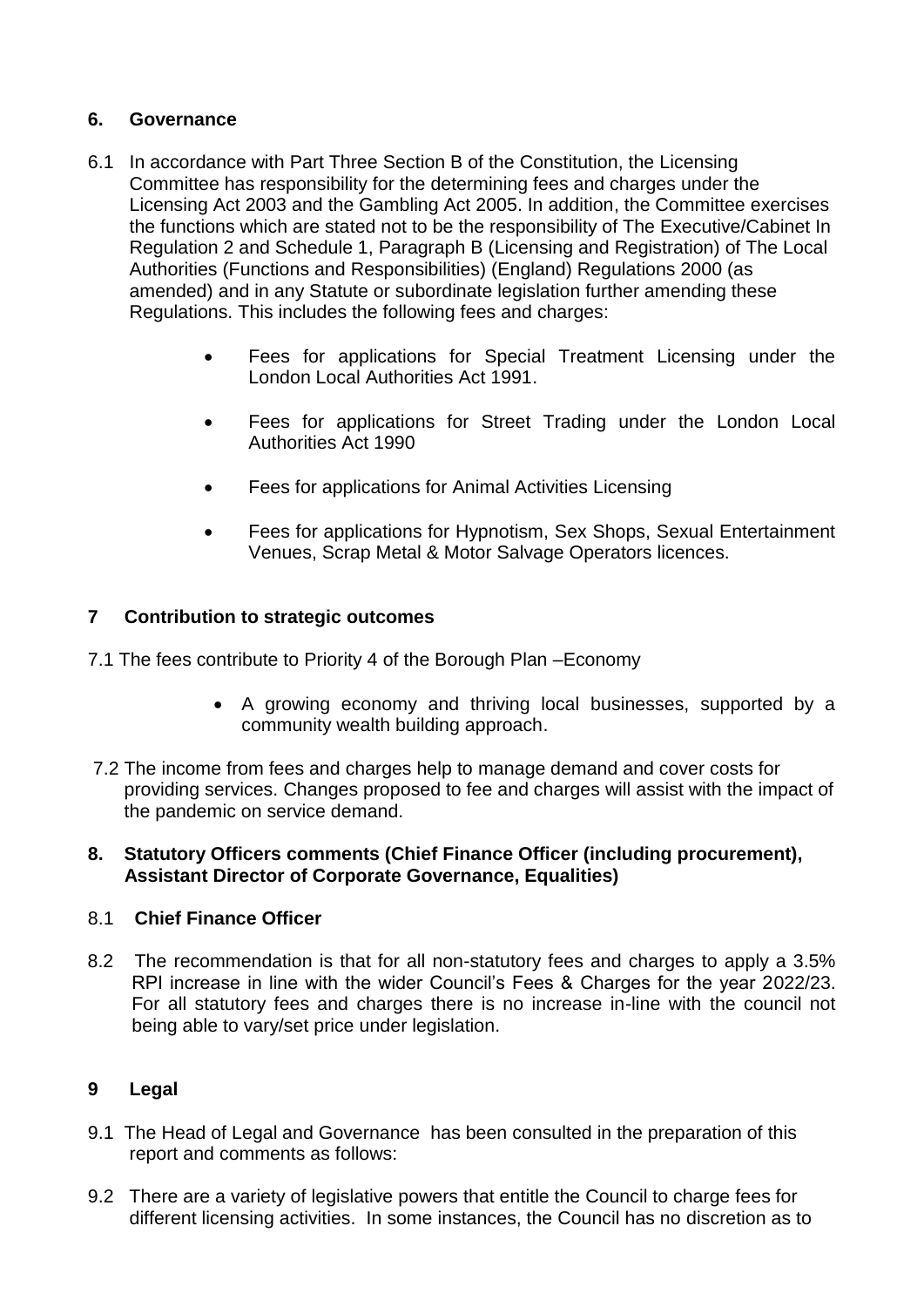# **6. Governance**

- 6.1 In accordance with Part Three Section B of the Constitution, the Licensing Committee has responsibility for the determining fees and charges under the Licensing Act 2003 and the Gambling Act 2005. In addition, the Committee exercises the functions which are stated not to be the responsibility of The Executive/Cabinet In Regulation 2 and Schedule 1, Paragraph B (Licensing and Registration) of The Local Authorities (Functions and Responsibilities) (England) Regulations 2000 (as amended) and in any Statute or subordinate legislation further amending these Regulations. This includes the following fees and charges:
	- Fees for applications for Special Treatment Licensing under the London Local Authorities Act 1991.
	- Fees for applications for Street Trading under the London Local Authorities Act 1990
	- Fees for applications for Animal Activities Licensing
	- Fees for applications for Hypnotism, Sex Shops, Sexual Entertainment Venues, Scrap Metal & Motor Salvage Operators licences.

# **7 Contribution to strategic outcomes**

- 7.1 The fees contribute to Priority 4 of the Borough Plan –Economy
	- A growing economy and thriving local businesses, supported by a community wealth building approach.
- 7.2 The income from fees and charges help to manage demand and cover costs for providing services. Changes proposed to fee and charges will assist with the impact of the pandemic on service demand.

## **8. Statutory Officers comments (Chief Finance Officer (including procurement), Assistant Director of Corporate Governance, Equalities)**

### 8.1 **Chief Finance Officer**

8.2 The recommendation is that for all non-statutory fees and charges to apply a 3.5% RPI increase in line with the wider Council's Fees & Charges for the year 2022/23. For all statutory fees and charges there is no increase in-line with the council not being able to vary/set price under legislation.

### **9 Legal**

- 9.1 The Head of Legal and Governance has been consulted in the preparation of this report and comments as follows:
- 9.2 There are a variety of legislative powers that entitle the Council to charge fees for different licensing activities. In some instances, the Council has no discretion as to